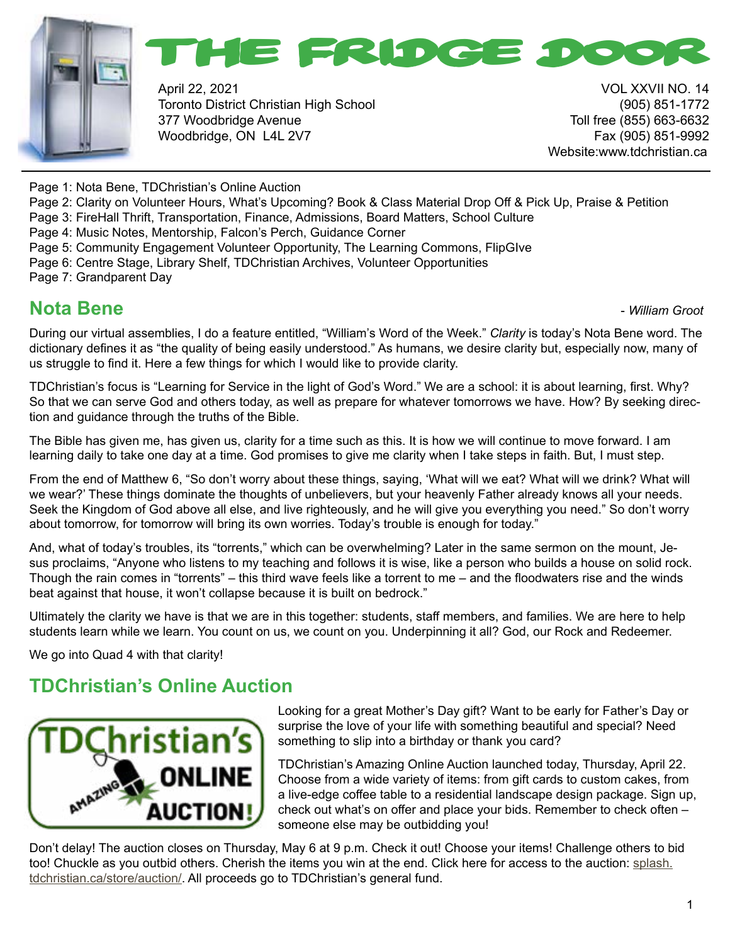



April 22, 2021 VOL XXVII NO. 14 Toronto District Christian High School (905) 851-1772 377 Woodbridge Avenue Toll free (855) 663-6632 Woodbridge, ON L4L 2V7 Fax (905) 851-9992

Website:www.tdchristian.ca

Page 1: Nota Bene, TDChristian's Online Auction

- Page 2: Clarity on Volunteer Hours, What's Upcoming? Book & Class Material Drop Off & Pick Up, Praise & Petition
- Page 3: FireHall Thrift, Transportation, Finance, Admissions, Board Matters, School Culture
- Page 4: Music Notes, Mentorship, Falcon's Perch, Guidance Corner
- Page 5: Community Engagement Volunteer Opportunity, The Learning Commons, FlipGIve
- Page 6: Centre Stage, Library Shelf, TDChristian Archives, Volunteer Opportunities

Page 7: Grandparent Day

### **Nota Bene -** *William Groot* **<b>Constanting Constanting Constanting Constanting Constanting Constanting Constanting Constanting Constanting Constanting Constanting Constanting Constanting Constanting Constanting Constantin**

During our virtual assemblies, I do a feature entitled, "William's Word of the Week." *Clarity* is today's Nota Bene word. The dictionary defines it as "the quality of being easily understood." As humans, we desire clarity but, especially now, many of us struggle to find it. Here a few things for which I would like to provide clarity.

TDChristian's focus is "Learning for Service in the light of God's Word." We are a school: it is about learning, first. Why? So that we can serve God and others today, as well as prepare for whatever tomorrows we have. How? By seeking direction and guidance through the truths of the Bible.

The Bible has given me, has given us, clarity for a time such as this. It is how we will continue to move forward. I am learning daily to take one day at a time. God promises to give me clarity when I take steps in faith. But, I must step.

From the end of Matthew 6, "So don't worry about these things, saying, 'What will we eat? What will we drink? What will we wear?' These things dominate the thoughts of unbelievers, but your heavenly Father already knows all your needs. Seek the Kingdom of God above all else, and live righteously, and he will give you everything you need." So don't worry about tomorrow, for tomorrow will bring its own worries. Today's trouble is enough for today."

And, what of today's troubles, its "torrents," which can be overwhelming? Later in the same sermon on the mount, Jesus proclaims, "Anyone who listens to my teaching and follows it is wise, like a person who builds a house on solid rock. Though the rain comes in "torrents" – this third wave feels like a torrent to me – and the floodwaters rise and the winds beat against that house, it won't collapse because it is built on bedrock."

Ultimately the clarity we have is that we are in this together: students, staff members, and families. We are here to help students learn while we learn. You count on us, we count on you. Underpinning it all? God, our Rock and Redeemer.

We go into Quad 4 with that clarity!

### **TDChristian's Online Auction**



Looking for a great Mother's Day gift? Want to be early for Father's Day or surprise the love of your life with something beautiful and special? Need something to slip into a birthday or thank you card?

TDChristian's Amazing Online Auction launched today, Thursday, April 22. Choose from a wide variety of items: from gift cards to custom cakes, from a live-edge coffee table to a residential landscape design package. Sign up, check out what's on offer and place your bids. Remember to check often – someone else may be outbidding you!

Don't delay! The auction closes on Thursday, May 6 at 9 p.m. Check it out! Choose your items! Challenge others to bid too! Chuckle as you outbid others. Cherish the items you win at the end. Click here for access to the auction: [splash.](http://splash.tdchristian.ca/store/auction/) [tdchristian.ca/store/auction/](http://splash.tdchristian.ca/store/auction/). All proceeds go to TDChristian's general fund.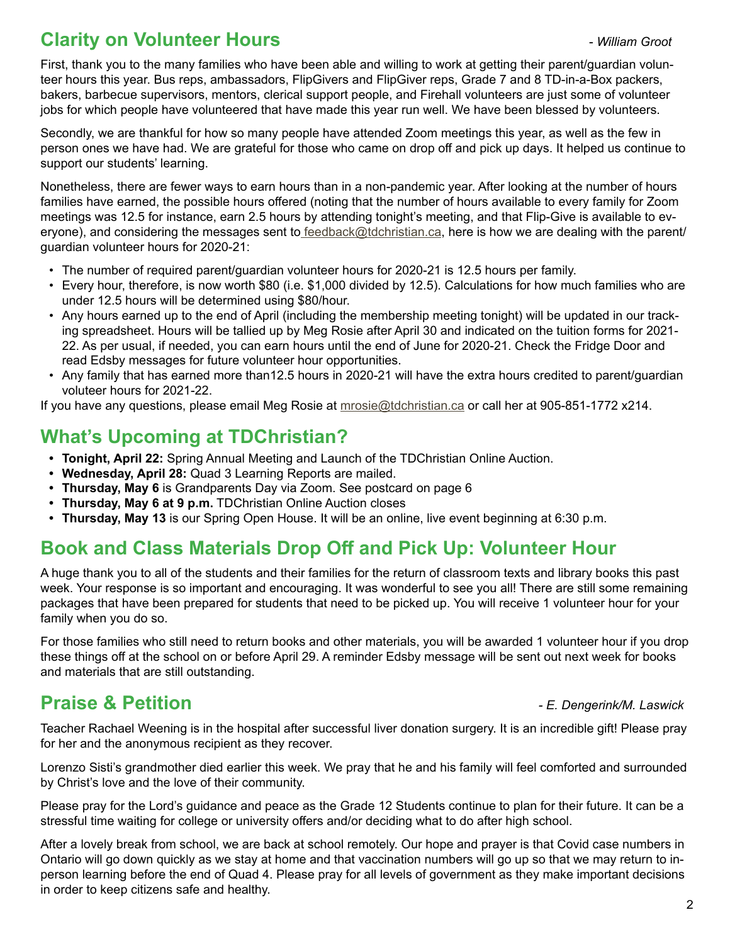### **Clarity on Volunteer Hours** - *William Groot*

First, thank you to the many families who have been able and willing to work at getting their parent/guardian volunteer hours this year. Bus reps, ambassadors, FlipGivers and FlipGiver reps, Grade 7 and 8 TD-in-a-Box packers, bakers, barbecue supervisors, mentors, clerical support people, and Firehall volunteers are just some of volunteer jobs for which people have volunteered that have made this year run well. We have been blessed by volunteers.

Secondly, we are thankful for how so many people have attended Zoom meetings this year, as well as the few in person ones we have had. We are grateful for those who came on drop off and pick up days. It helped us continue to support our students' learning.

Nonetheless, there are fewer ways to earn hours than in a non-pandemic year. After looking at the number of hours families have earned, the possible hours offered (noting that the number of hours available to every family for Zoom meetings was 12.5 for instance, earn 2.5 hours by attending tonight's meeting, and that Flip-Give is available to everyone), and considering the messages sent t[o feedback@tdchristian.ca](mailto:%20feedback%40tdchristian.ca?subject=), here is how we are dealing with the parent/ guardian volunteer hours for 2020-21:

- The number of required parent/guardian volunteer hours for 2020-21 is 12.5 hours per family.
- Every hour, therefore, is now worth \$80 (i.e. \$1,000 divided by 12.5). Calculations for how much families who are under 12.5 hours will be determined using \$80/hour.
- Any hours earned up to the end of April (including the membership meeting tonight) will be updated in our tracking spreadsheet. Hours will be tallied up by Meg Rosie after April 30 and indicated on the tuition forms for 2021- 22. As per usual, if needed, you can earn hours until the end of June for 2020-21. Check the Fridge Door and read Edsby messages for future volunteer hour opportunities.
- Any family that has earned more than12.5 hours in 2020-21 will have the extra hours credited to parent/guardian voluteer hours for 2021-22.

If you have any questions, please email Meg Rosie at [mrosie@tdchristian.ca](mailto:mrosie%40tdchristian.ca?subject=) or call her at 905-851-1772 x214.

### **What's Upcoming at TDChristian?**

- **• Tonight, April 22:** Spring Annual Meeting and Launch of the TDChristian Online Auction.
- **• Wednesday, April 28:** Quad 3 Learning Reports are mailed.
- **• Thursday, May 6** is Grandparents Day via Zoom. See postcard on page 6
- **• Thursday, May 6 at 9 p.m.** TDChristian Online Auction closes
- **• Thursday, May 13** is our Spring Open House. It will be an online, live event beginning at 6:30 p.m.

### **Book and Class Materials Drop Off and Pick Up: Volunteer Hour**

A huge thank you to all of the students and their families for the return of classroom texts and library books this past week. Your response is so important and encouraging. It was wonderful to see you all! There are still some remaining packages that have been prepared for students that need to be picked up. You will receive 1 volunteer hour for your family when you do so.

For those families who still need to return books and other materials, you will be awarded 1 volunteer hour if you drop these things off at the school on or before April 29. A reminder Edsby message will be sent out next week for books and materials that are still outstanding.

### **Praise & Petition** *- E. Dengerink/M. Laswick*

Teacher Rachael Weening is in the hospital after successful liver donation surgery. It is an incredible gift! Please pray for her and the anonymous recipient as they recover.

Lorenzo Sisti's grandmother died earlier this week. We pray that he and his family will feel comforted and surrounded by Christ's love and the love of their community.

Please pray for the Lord's guidance and peace as the Grade 12 Students continue to plan for their future. It can be a stressful time waiting for college or university offers and/or deciding what to do after high school.

After a lovely break from school, we are back at school remotely. Our hope and prayer is that Covid case numbers in Ontario will go down quickly as we stay at home and that vaccination numbers will go up so that we may return to inperson learning before the end of Quad 4. Please pray for all levels of government as they make important decisions in order to keep citizens safe and healthy.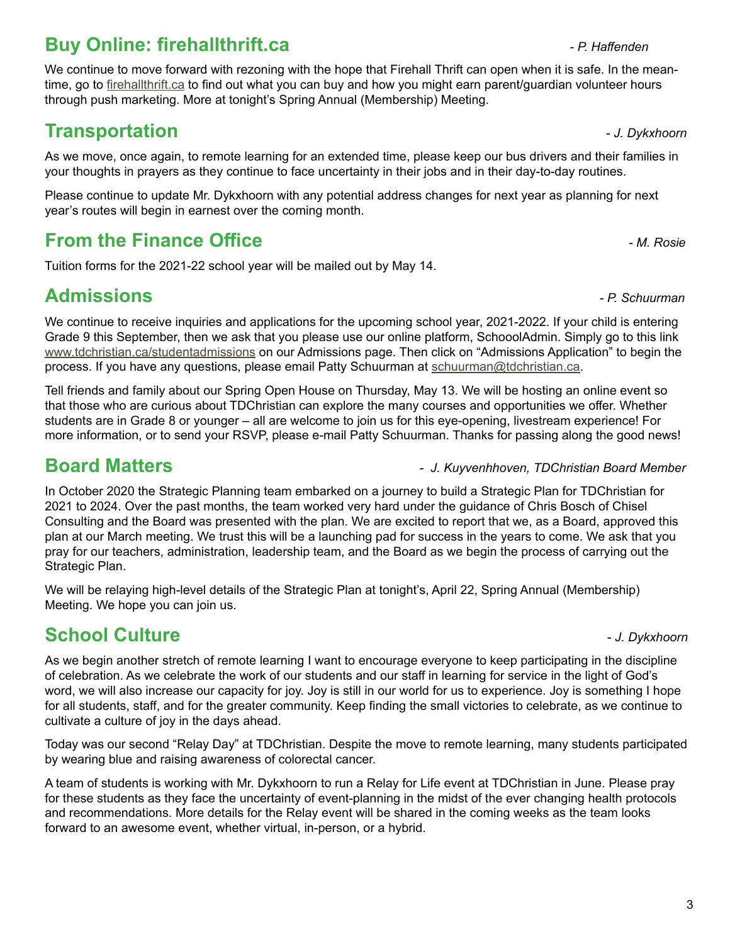## **Buy Online: firehallthrift.ca** *P. Haffenden*

We continue to move forward with rezoning with the hope that Firehall Thrift can open when it is safe. In the meantime, go to [firehallthrift.ca](mailto:firehallthrift.ca?subject=) to find out what you can buy and how you might earn parent/guardian volunteer hours through push marketing. More at tonight's Spring Annual (Membership) Meeting.

### **Transportation 1.** The *J. Dykxhoorn*

As we move, once again, to remote learning for an extended time, please keep our bus drivers and their families in your thoughts in prayers as they continue to face uncertainty in their jobs and in their day-to-day routines.

Please continue to update Mr. Dykxhoorn with any potential address changes for next year as planning for next year's routes will begin in earnest over the coming month.

## **From the Finance Office**  *Allemance Allemance Allemance C**Allemance C**Allemance Allemance C**Allemance C <i>M. Rosie*

Tuition forms for the 2021-22 school year will be mailed out by May 14.

## **Admissions** *- P. Schuurman*

We continue to receive inquiries and applications for the upcoming school year, 2021-2022. If your child is entering Grade 9 this September, then we ask that you please use our online platform, SchooolAdmin. Simply go to this link [www.tdchristian.ca/studentadmissions](http://www.tdchristian.ca/studentadmissions) on our Admissions page. Then click on "Admissions Application" to begin the process. If you have any questions, please email Patty Schuurman at [schuurman@tdchristian.ca.](mailto:schuurman%40tdchristian.ca?subject=)

Tell friends and family about our Spring Open House on Thursday, May 13. We will be hosting an online event so that those who are curious about TDChristian can explore the many courses and opportunities we offer. Whether students are in Grade 8 or younger – all are welcome to join us for this eye-opening, livestream experience! For more information, or to send your RSVP, please e-mail Patty Schuurman. Thanks for passing along the good news!

**Board Matters** *- J. Kuyvenhhoven, TDChristian Board Member*

In October 2020 the Strategic Planning team embarked on a journey to build a Strategic Plan for TDChristian for 2021 to 2024. Over the past months, the team worked very hard under the guidance of Chris Bosch of Chisel Consulting and the Board was presented with the plan. We are excited to report that we, as a Board, approved this plan at our March meeting. We trust this will be a launching pad for success in the years to come. We ask that you pray for our teachers, administration, leadership team, and the Board as we begin the process of carrying out the Strategic Plan.

We will be relaying high-level details of the Strategic Plan at tonight's, April 22, Spring Annual (Membership) Meeting. We hope you can join us.

## **School Culture -** *J. Dykxhoorn***</del>**

As we begin another stretch of remote learning I want to encourage everyone to keep participating in the discipline of celebration. As we celebrate the work of our students and our staff in learning for service in the light of God's word, we will also increase our capacity for joy. Joy is still in our world for us to experience. Joy is something I hope for all students, staff, and for the greater community. Keep finding the small victories to celebrate, as we continue to cultivate a culture of joy in the days ahead.

Today was our second "Relay Day" at TDChristian. Despite the move to remote learning, many students participated by wearing blue and raising awareness of colorectal cancer.

A team of students is working with Mr. Dykxhoorn to run a Relay for Life event at TDChristian in June. Please pray for these students as they face the uncertainty of event-planning in the midst of the ever changing health protocols and recommendations. More details for the Relay event will be shared in the coming weeks as the team looks forward to an awesome event, whether virtual, in-person, or a hybrid.

3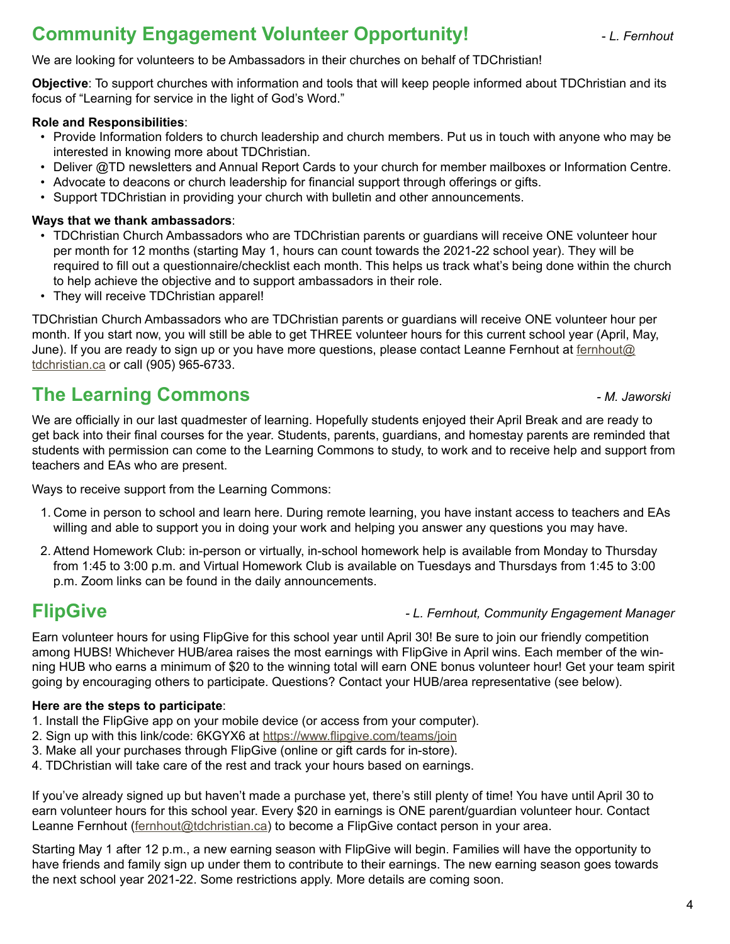### **Community Engagement Volunteer Opportunity! Accord 2. For Assume Assume Assume Assume Assume Assume Assume Assume Assume Assume Assume Assume Assume Assume Assume Assume Assume Assume Assume Assume Assume Assume Assume**

### We are looking for volunteers to be Ambassadors in their churches on behalf of TDChristian!

**Objective**: To support churches with information and tools that will keep people informed about TDChristian and its focus of "Learning for service in the light of God's Word."

### **Role and Responsibilities**:

- Provide Information folders to church leadership and church members. Put us in touch with anyone who may be interested in knowing more about TDChristian.
- Deliver @TD newsletters and Annual Report Cards to your church for member mailboxes or Information Centre.
- Advocate to deacons or church leadership for financial support through offerings or gifts.
- Support TDChristian in providing your church with bulletin and other announcements.

### **Ways that we thank ambassadors**:

- TDChristian Church Ambassadors who are TDChristian parents or guardians will receive ONE volunteer hour per month for 12 months (starting May 1, hours can count towards the 2021-22 school year). They will be required to fill out a questionnaire/checklist each month. This helps us track what's being done within the church to help achieve the objective and to support ambassadors in their role.
- They will receive TDChristian apparel!

TDChristian Church Ambassadors who are TDChristian parents or guardians will receive ONE volunteer hour per month. If you start now, you will still be able to get THREE volunteer hours for this current school year (April, May, June). If you are ready to sign up or you have more questions, please contact Leanne Fernhout at fernhout@ tdchristian.ca or call (905) 965-6733.

### **The Learning Commons** *- M. Jaworski*

We are officially in our last quadmester of learning. Hopefully students enjoyed their April Break and are ready to get back into their final courses for the year. Students, parents, guardians, and homestay parents are reminded that students with permission can come to the Learning Commons to study, to work and to receive help and support from teachers and EAs who are present.

Ways to receive support from the Learning Commons:

- 1. Come in person to school and learn here. During remote learning, you have instant access to teachers and EAs willing and able to support you in doing your work and helping you answer any questions you may have.
- 2. Attend Homework Club: in-person or virtually, in-school homework help is available from Monday to Thursday from 1:45 to 3:00 p.m. and Virtual Homework Club is available on Tuesdays and Thursdays from 1:45 to 3:00 p.m. Zoom links can be found in the daily announcements.

### **FlipGive** *- L. Fernhout, Community Engagement Manager*

Earn volunteer hours for using FlipGive for this school year until April 30! Be sure to join our friendly competition among HUBS! Whichever HUB/area raises the most earnings with FlipGive in April wins. Each member of the winning HUB who earns a minimum of \$20 to the winning total will earn ONE bonus volunteer hour! Get your team spirit going by encouraging others to participate. Questions? Contact your HUB/area representative (see below).

### **Here are the steps to participate**:

- 1. Install the FlipGive app on your mobile device (or access from your computer).
- 2. Sign up with this link/code: 6KGYX6 at https://www.flipgive.com/teams/join
- 3. Make all your purchases through FlipGive (online or gift cards for in-store).
- 4. TDChristian will take care of the rest and track your hours based on earnings.

If you've already signed up but haven't made a purchase yet, there's still plenty of time! You have until April 30 to earn volunteer hours for this school year. Every \$20 in earnings is ONE parent/guardian volunteer hour. Contact Leanne Fernhout [\(fernhout@tdchristian.ca](mailto:fernhout%40tdchristian.ca?subject=)) to become a FlipGive contact person in your area.

Starting May 1 after 12 p.m., a new earning season with FlipGive will begin. Families will have the opportunity to have friends and family sign up under them to contribute to their earnings. The new earning season goes towards the next school year 2021-22. Some restrictions apply. More details are coming soon.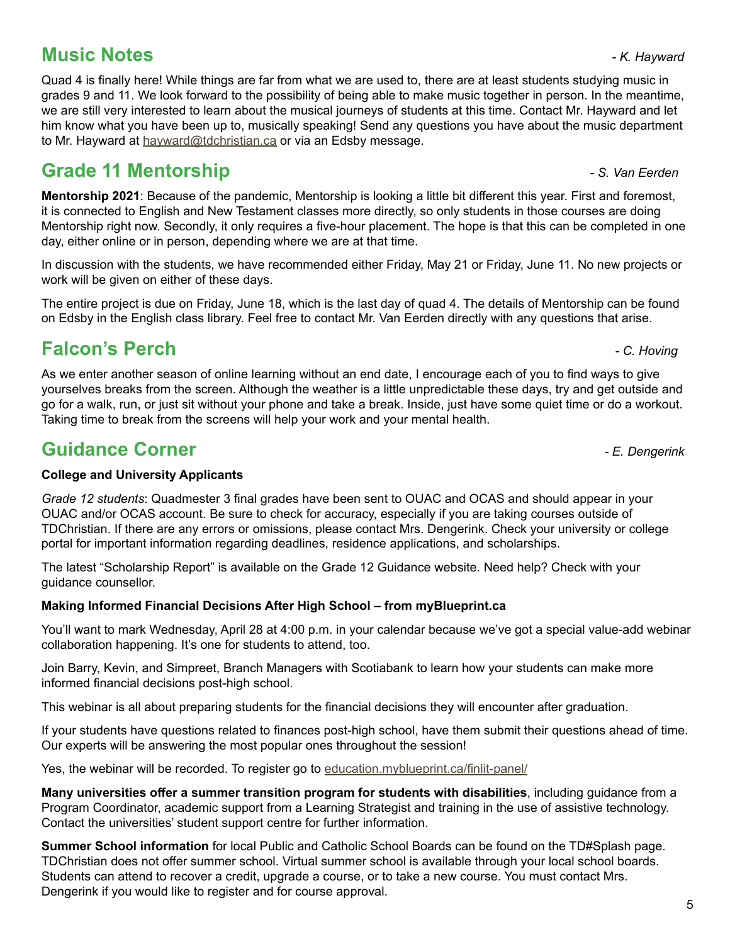### **Music Notes** *- K. Hayward*

Quad 4 is finally here! While things are far from what we are used to, there are at least students studying music in grades 9 and 11. We look forward to the possibility of being able to make music together in person. In the meantime, we are still very interested to learn about the musical journeys of students at this time. Contact Mr. Hayward and let him know what you have been up to, musically speaking! Send any questions you have about the music department to Mr. Hayward at [hayward@tdchristian.ca](mailto:hayward%40tdchristian.ca?subject=) or via an Edsby message.

# **Grade 11 Mentorship** *- S. Van Eerden*

**Mentorship 2021**: Because of the pandemic, Mentorship is looking a little bit different this year. First and foremost, it is connected to English and New Testament classes more directly, so only students in those courses are doing Mentorship right now. Secondly, it only requires a five-hour placement. The hope is that this can be completed in one day, either online or in person, depending where we are at that time.

In discussion with the students, we have recommended either Friday, May 21 or Friday, June 11. No new projects or work will be given on either of these days.

The entire project is due on Friday, June 18, which is the last day of quad 4. The details of Mentorship can be found on Edsby in the English class library. Feel free to contact Mr. Van Eerden directly with any questions that arise.

# **Falcon's Perch** *- C. Hoving*

As we enter another season of online learning without an end date, I encourage each of you to find ways to give yourselves breaks from the screen. Although the weather is a little unpredictable these days, try and get outside and go for a walk, run, or just sit without your phone and take a break. Inside, just have some quiet time or do a workout. Taking time to break from the screens will help your work and your mental health.

# **Guidance Corner** *- E. Dengerink*

### **College and University Applicants**

*Grade 12 students*: Quadmester 3 final grades have been sent to OUAC and OCAS and should appear in your OUAC and/or OCAS account. Be sure to check for accuracy, especially if you are taking courses outside of TDChristian. If there are any errors or omissions, please contact Mrs. Dengerink. Check your university or college portal for important information regarding deadlines, residence applications, and scholarships.

The latest "Scholarship Report" is available on the Grade 12 Guidance website. Need help? Check with your guidance counsellor.

### **Making Informed Financial Decisions After High School – from myBlueprint.ca**

You'll want to mark Wednesday, April 28 at 4:00 p.m. in your calendar because we've got a special value-add webinar collaboration happening. It's one for students to attend, too.

Join Barry, Kevin, and Simpreet, Branch Managers with Scotiabank to learn how your students can make more informed financial decisions post-high school.

This webinar is all about preparing students for the financial decisions they will encounter after graduation.

If your students have questions related to finances post-high school, have them submit their questions ahead of time. Our experts will be answering the most popular ones throughout the session!

Yes, the webinar will be recorded. To register go to [education.myblueprint.ca/finlit-panel/](mailto:education.myblueprint.ca/finlit-panel/%20?subject=)

**Many universities offer a summer transition program for students with disabilities**, including guidance from a Program Coordinator, academic support from a Learning Strategist and training in the use of assistive technology. Contact the universities' student support centre for further information.

**Summer School information** for local Public and Catholic School Boards can be found on the TD#Splash page. TDChristian does not offer summer school. Virtual summer school is available through your local school boards. Students can attend to recover a credit, upgrade a course, or to take a new course. You must contact Mrs. Dengerink if you would like to register and for course approval.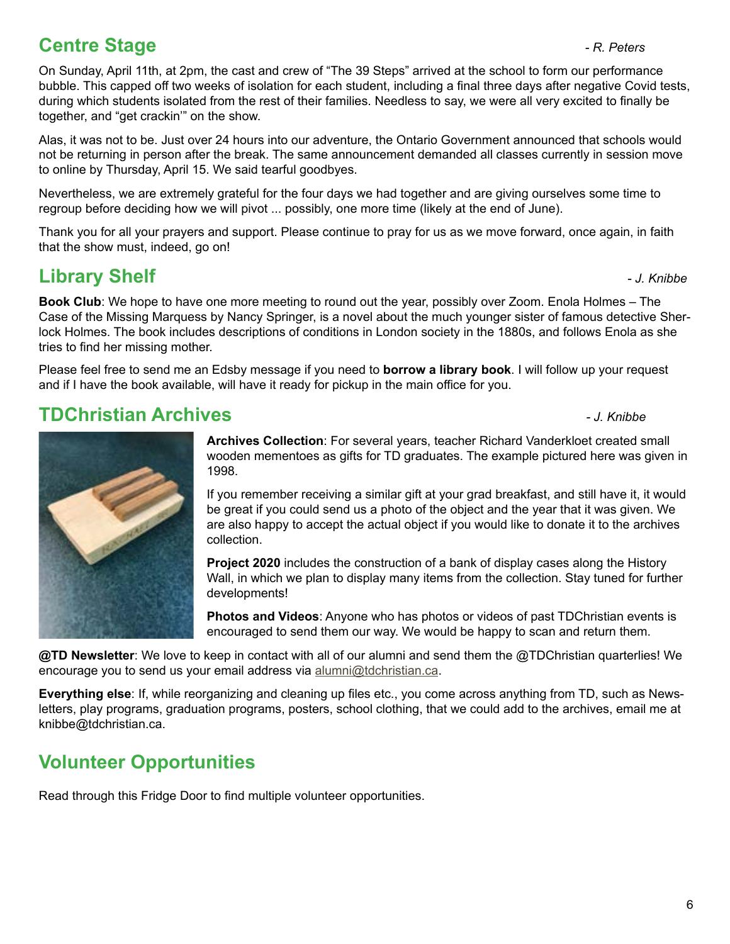### **Centre Stage** *Centre Stage*

On Sunday, April 11th, at 2pm, the cast and crew of "The 39 Steps" arrived at the school to form our performance bubble. This capped off two weeks of isolation for each student, including a final three days after negative Covid tests, during which students isolated from the rest of their families. Needless to say, we were all very excited to finally be together, and "get crackin'" on the show.

Alas, it was not to be. Just over 24 hours into our adventure, the Ontario Government announced that schools would not be returning in person after the break. The same announcement demanded all classes currently in session move to online by Thursday, April 15. We said tearful goodbyes.

Nevertheless, we are extremely grateful for the four days we had together and are giving ourselves some time to regroup before deciding how we will pivot ... possibly, one more time (likely at the end of June).

Thank you for all your prayers and support. Please continue to pray for us as we move forward, once again, in faith that the show must, indeed, go on!

## **Library Shelf** *- J. Knibbe*

**Book Club**: We hope to have one more meeting to round out the year, possibly over Zoom. Enola Holmes – The Case of the Missing Marquess by Nancy Springer, is a novel about the much younger sister of famous detective Sherlock Holmes. The book includes descriptions of conditions in London society in the 1880s, and follows Enola as she tries to find her missing mother.

Please feel free to send me an Edsby message if you need to **borrow a library book**. I will follow up your request and if I have the book available, will have it ready for pickup in the main office for you.

### **TDChristian Archives** *- J. Knibbe*

If you remember receiving a similar gift at your grad breakfast, and still have it, it would be great if you could send us a photo of the object and the year that it was given. We are also happy to accept the actual object if you would like to donate it to the archives collection.

**Project 2020** includes the construction of a bank of display cases along the History Wall, in which we plan to display many items from the collection. Stay tuned for further developments!

**Photos and Videos**: Anyone who has photos or videos of past TDChristian events is encouraged to send them our way. We would be happy to scan and return them.

**@TD Newsletter**: We love to keep in contact with all of our alumni and send them the @TDChristian quarterlies! We encourage you to send us your email address via [alumni@tdchristian.ca.](mailto:alumni%40tdchristian.ca?subject=)

**Everything else**: If, while reorganizing and cleaning up files etc., you come across anything from TD, such as Newsletters, play programs, graduation programs, posters, school clothing, that we could add to the archives, email me at knibbe@tdchristian.ca.

### **Volunteer Opportunities**

Read through this Fridge Door to find multiple volunteer opportunities.

**Archives Collection**: For several years, teacher Richard Vanderkloet created small wooden mementoes as gifts for TD graduates. The example pictured here was given in 1998.